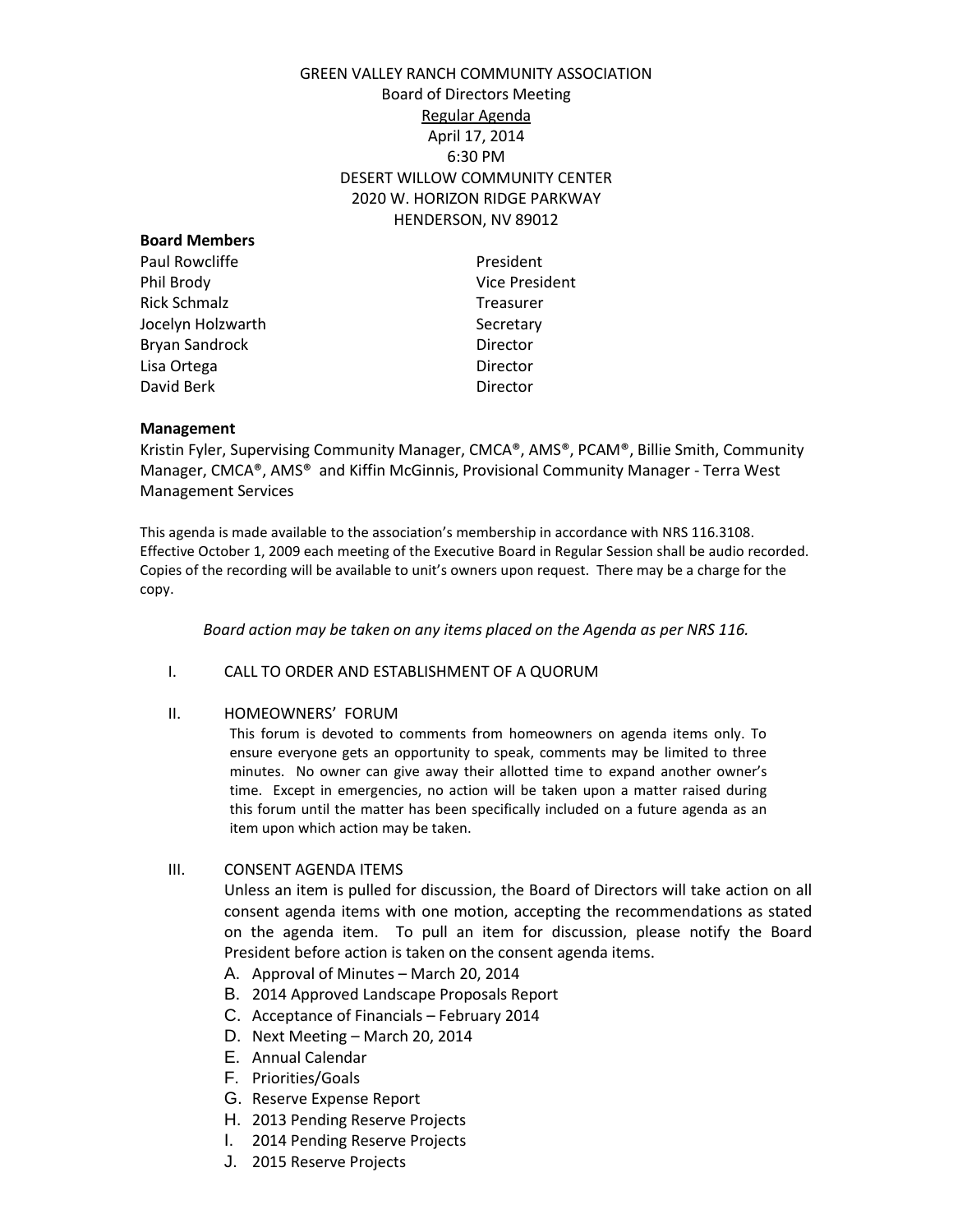# GREEN VALLEY RANCH COMMUNITY ASSOCIATION Board of Directors Meeting Regular Agenda April 17, 2014 6:30 PM DESERT WILLOW COMMUNITY CENTER 2020 W. HORIZON RIDGE PARKWAY HENDERSON, NV 89012

| President             |
|-----------------------|
| <b>Vice President</b> |
| <b>Treasurer</b>      |
| Secretary             |
| Director              |
| Director              |
| Director              |
|                       |

### **Management**

Kristin Fyler, Supervising Community Manager, CMCA®, AMS®, PCAM®, Billie Smith, Community Manager, CMCA®, AMS® and Kiffin McGinnis, Provisional Community Manager - Terra West Management Services

This agenda is made available to the association's membership in accordance with NRS 116.3108. Effective October 1, 2009 each meeting of the Executive Board in Regular Session shall be audio recorded. Copies of the recording will be available to unit's owners upon request. There may be a charge for the copy.

*Board action may be taken on any items placed on the Agenda as per NRS 116.* 

#### I. CALL TO ORDER AND ESTABLISHMENT OF A QUORUM

#### II. HOMEOWNERS' FORUM

This forum is devoted to comments from homeowners on agenda items only. To ensure everyone gets an opportunity to speak, comments may be limited to three minutes. No owner can give away their allotted time to expand another owner's time. Except in emergencies, no action will be taken upon a matter raised during this forum until the matter has been specifically included on a future agenda as an item upon which action may be taken.

III. CONSENT AGENDA ITEMS

Unless an item is pulled for discussion, the Board of Directors will take action on all consent agenda items with one motion, accepting the recommendations as stated on the agenda item. To pull an item for discussion, please notify the Board President before action is taken on the consent agenda items.

- A. Approval of Minutes March 20, 2014
- B. 2014 Approved Landscape Proposals Report
- C. Acceptance of Financials February 2014
- D. Next Meeting March 20, 2014
- E. Annual Calendar
- F. Priorities/Goals
- G. Reserve Expense Report
- H. 2013 Pending Reserve Projects
- I. 2014 Pending Reserve Projects
- J. 2015 Reserve Projects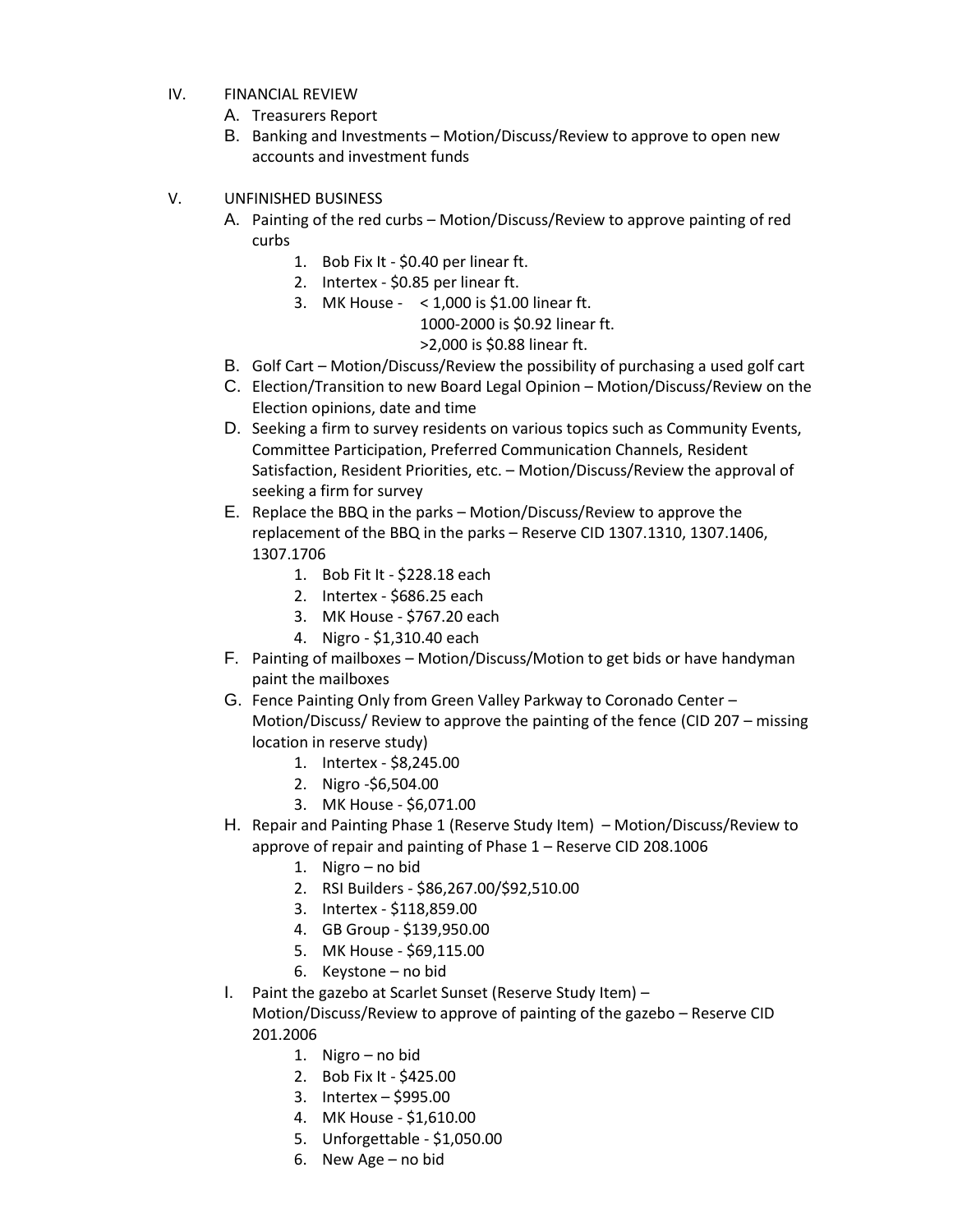- IV. FINANCIAL REVIEW
	- A. Treasurers Report
	- B. Banking and Investments Motion/Discuss/Review to approve to open new accounts and investment funds
- V. UNFINISHED BUSINESS
	- A. Painting of the red curbs Motion/Discuss/Review to approve painting of red curbs
		- 1. Bob Fix It \$0.40 per linear ft.
		- 2. Intertex \$0.85 per linear ft.
		- 3. MK House < 1,000 is \$1.00 linear ft.

1000-2000 is \$0.92 linear ft.

>2,000 is \$0.88 linear ft.

- B. Golf Cart Motion/Discuss/Review the possibility of purchasing a used golf cart
- C. Election/Transition to new Board Legal Opinion Motion/Discuss/Review on the Election opinions, date and time
- D. Seeking a firm to survey residents on various topics such as Community Events, Committee Participation, Preferred Communication Channels, Resident Satisfaction, Resident Priorities, etc. – Motion/Discuss/Review the approval of seeking a firm for survey
- E. Replace the BBQ in the parks Motion/Discuss/Review to approve the replacement of the BBQ in the parks – Reserve CID 1307.1310, 1307.1406, 1307.1706
	- 1. Bob Fit It \$228.18 each
	- 2. Intertex \$686.25 each
	- 3. MK House \$767.20 each
	- 4. Nigro \$1,310.40 each
- F. Painting of mailboxes Motion/Discuss/Motion to get bids or have handyman paint the mailboxes
- G. Fence Painting Only from Green Valley Parkway to Coronado Center Motion/Discuss/ Review to approve the painting of the fence (CID 207 – missing location in reserve study)
	- 1. Intertex \$8,245.00
	- 2. Nigro -\$6,504.00
	- 3. MK House \$6,071.00
- H. Repair and Painting Phase 1 (Reserve Study Item) Motion/Discuss/Review to approve of repair and painting of Phase 1 – Reserve CID 208.1006
	- 1. Nigro no bid
	- 2. RSI Builders \$86,267.00/\$92,510.00
	- 3. Intertex \$118,859.00
	- 4. GB Group \$139,950.00
	- 5. MK House \$69,115.00
	- 6. Keystone no bid

I. Paint the gazebo at Scarlet Sunset (Reserve Study Item) –

Motion/Discuss/Review to approve of painting of the gazebo – Reserve CID 201.2006

- 1. Nigro no bid
- 2. Bob Fix It \$425.00
- 3. Intertex \$995.00
- 4. MK House \$1,610.00
- 5. Unforgettable \$1,050.00
- 6. New Age no bid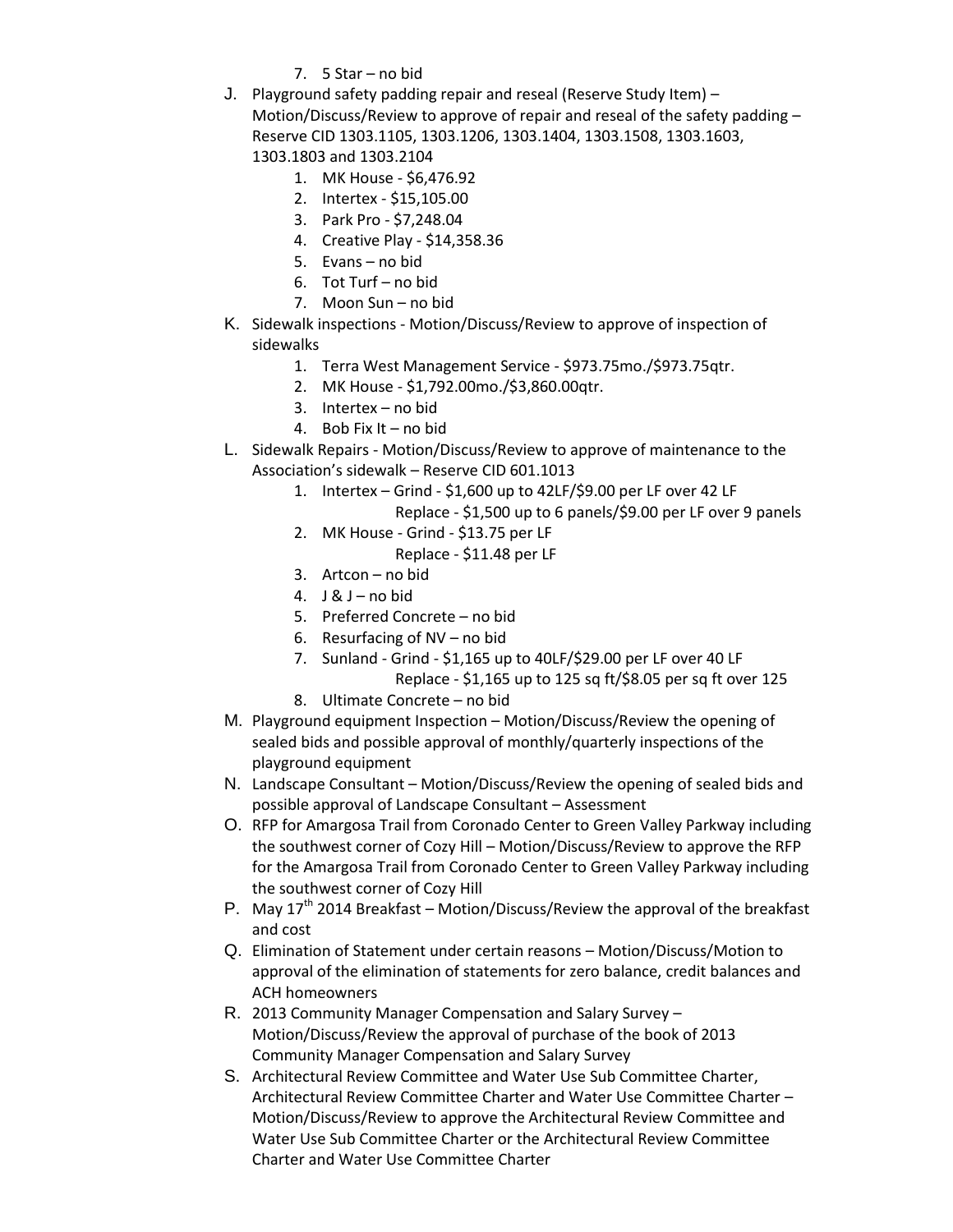- 7. 5 Star no bid
- J. Playground safety padding repair and reseal (Reserve Study Item) Motion/Discuss/Review to approve of repair and reseal of the safety padding – Reserve CID 1303.1105, 1303.1206, 1303.1404, 1303.1508, 1303.1603, 1303.1803 and 1303.2104

- 1. MK House \$6,476.92
- 2. Intertex \$15,105.00
- 3. Park Pro \$7,248.04
- 4. Creative Play \$14,358.36
- 5. Evans no bid
- 6. Tot Turf no bid
- 7. Moon Sun no bid
- K. Sidewalk inspections Motion/Discuss/Review to approve of inspection of sidewalks
	- 1. Terra West Management Service \$973.75mo./\$973.75qtr.
	- 2. MK House \$1,792.00mo./\$3,860.00qtr.
	- 3. Intertex no bid
	- 4. Bob Fix It no bid
- L. Sidewalk Repairs Motion/Discuss/Review to approve of maintenance to the Association's sidewalk – Reserve CID 601.1013
	- 1. Intertex Grind \$1,600 up to 42LF/\$9.00 per LF over 42 LF Replace - \$1,500 up to 6 panels/\$9.00 per LF over 9 panels
	- 2. MK House Grind \$13.75 per LF
		- Replace \$11.48 per LF
	- 3. Artcon no bid
	- 4.  $J & J no$  bid
	- 5. Preferred Concrete no bid
	- 6. Resurfacing of NV no bid
	- 7. Sunland Grind \$1,165 up to 40LF/\$29.00 per LF over 40 LF Replace - \$1,165 up to 125 sq ft/\$8.05 per sq ft over 125
	- 8. Ultimate Concrete no bid
- M. Playground equipment Inspection Motion/Discuss/Review the opening of sealed bids and possible approval of monthly/quarterly inspections of the playground equipment
- N. Landscape Consultant Motion/Discuss/Review the opening of sealed bids and possible approval of Landscape Consultant – Assessment
- O. RFP for Amargosa Trail from Coronado Center to Green Valley Parkway including the southwest corner of Cozy Hill – Motion/Discuss/Review to approve the RFP for the Amargosa Trail from Coronado Center to Green Valley Parkway including the southwest corner of Cozy Hill
- P. May  $17^{th}$  2014 Breakfast Motion/Discuss/Review the approval of the breakfast and cost
- Q. Elimination of Statement under certain reasons Motion/Discuss/Motion to approval of the elimination of statements for zero balance, credit balances and ACH homeowners
- R. 2013 Community Manager Compensation and Salary Survey Motion/Discuss/Review the approval of purchase of the book of 2013 Community Manager Compensation and Salary Survey
- S. Architectural Review Committee and Water Use Sub Committee Charter, Architectural Review Committee Charter and Water Use Committee Charter – Motion/Discuss/Review to approve the Architectural Review Committee and Water Use Sub Committee Charter or the Architectural Review Committee Charter and Water Use Committee Charter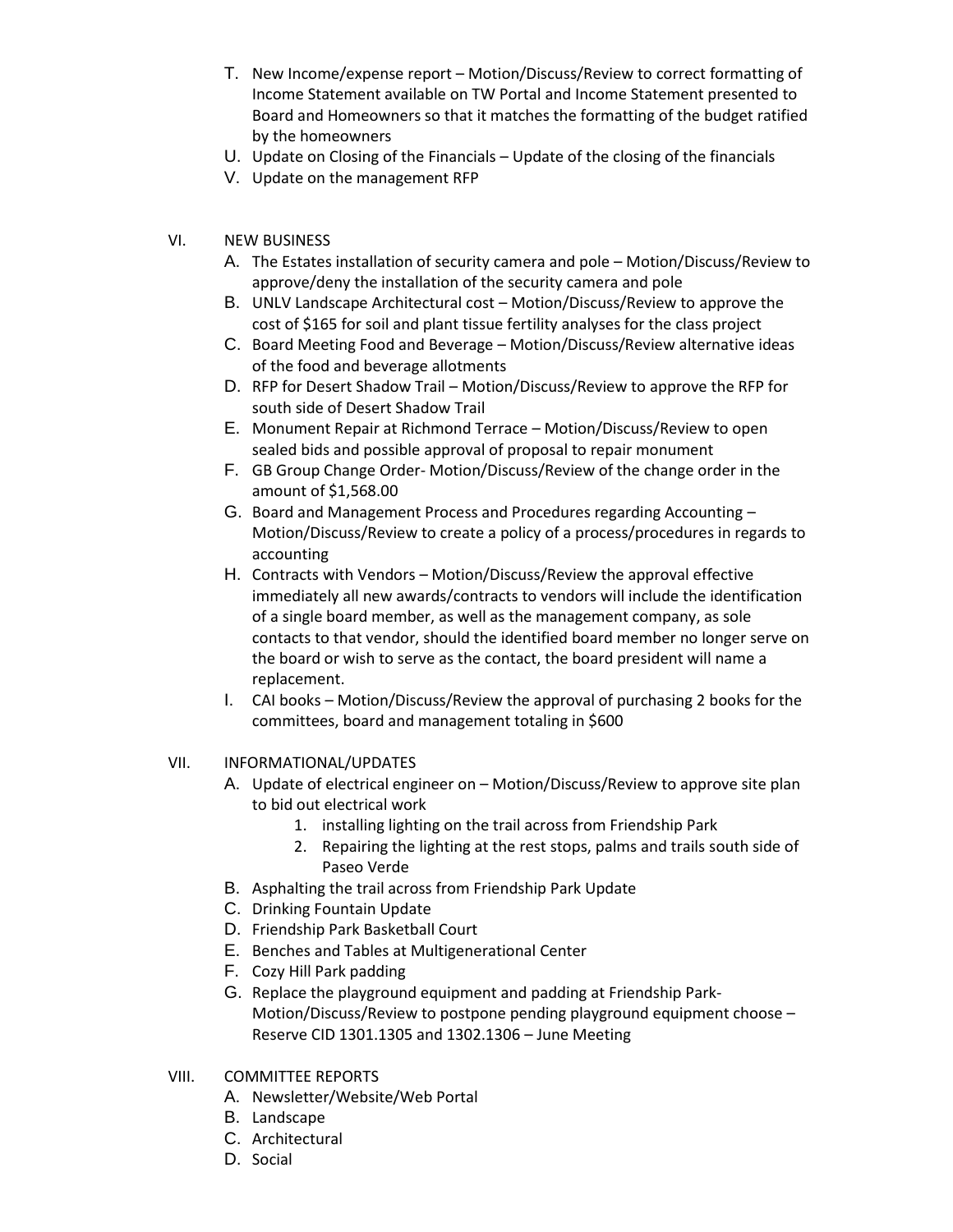- T. New Income/expense report Motion/Discuss/Review to correct formatting of Income Statement available on TW Portal and Income Statement presented to Board and Homeowners so that it matches the formatting of the budget ratified by the homeowners
- U. Update on Closing of the Financials Update of the closing of the financials
- V. Update on the management RFP

# VI. NEW BUSINESS

- A. The Estates installation of security camera and pole Motion/Discuss/Review to approve/deny the installation of the security camera and pole
- B. UNLV Landscape Architectural cost Motion/Discuss/Review to approve the cost of \$165 for soil and plant tissue fertility analyses for the class project
- C. Board Meeting Food and Beverage Motion/Discuss/Review alternative ideas of the food and beverage allotments
- D. RFP for Desert Shadow Trail Motion/Discuss/Review to approve the RFP for south side of Desert Shadow Trail
- E. Monument Repair at Richmond Terrace Motion/Discuss/Review to open sealed bids and possible approval of proposal to repair monument
- F. GB Group Change Order- Motion/Discuss/Review of the change order in the amount of \$1,568.00
- G. Board and Management Process and Procedures regarding Accounting Motion/Discuss/Review to create a policy of a process/procedures in regards to accounting
- H. Contracts with Vendors Motion/Discuss/Review the approval effective immediately all new awards/contracts to vendors will include the identification of a single board member, as well as the management company, as sole contacts to that vendor, should the identified board member no longer serve on the board or wish to serve as the contact, the board president will name a replacement.
- I. CAI books Motion/Discuss/Review the approval of purchasing 2 books for the committees, board and management totaling in \$600

### VII. INFORMATIONAL/UPDATES

- A. Update of electrical engineer on Motion/Discuss/Review to approve site plan to bid out electrical work
	- 1. installing lighting on the trail across from Friendship Park
	- 2. Repairing the lighting at the rest stops, palms and trails south side of Paseo Verde
- B. Asphalting the trail across from Friendship Park Update
- C. Drinking Fountain Update
- D. Friendship Park Basketball Court
- E. Benches and Tables at Multigenerational Center
- F. Cozy Hill Park padding
- G. Replace the playground equipment and padding at Friendship Park-Motion/Discuss/Review to postpone pending playground equipment choose – Reserve CID 1301.1305 and 1302.1306 – June Meeting
- VIII. COMMITTEE REPORTS
	- A. Newsletter/Website/Web Portal
	- B. Landscape
	- C. Architectural
	- D. Social